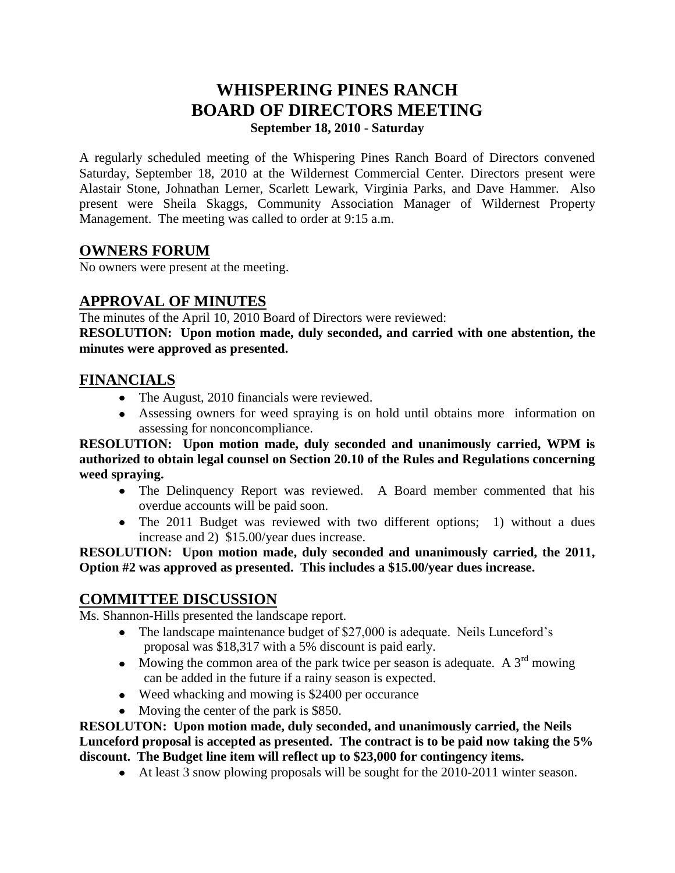# **WHISPERING PINES RANCH BOARD OF DIRECTORS MEETING**

**September 18, 2010 - Saturday**

A regularly scheduled meeting of the Whispering Pines Ranch Board of Directors convened Saturday, September 18, 2010 at the Wildernest Commercial Center. Directors present were Alastair Stone, Johnathan Lerner, Scarlett Lewark, Virginia Parks, and Dave Hammer. Also present were Sheila Skaggs, Community Association Manager of Wildernest Property Management. The meeting was called to order at 9:15 a.m.

### **OWNERS FORUM**

No owners were present at the meeting.

## **APPROVAL OF MINUTES**

The minutes of the April 10, 2010 Board of Directors were reviewed:

**RESOLUTION: Upon motion made, duly seconded, and carried with one abstention, the minutes were approved as presented.**

#### **FINANCIALS**

- The August, 2010 financials were reviewed.
- Assessing owners for weed spraying is on hold until obtains more information on assessing for nonconcompliance.

**RESOLUTION: Upon motion made, duly seconded and unanimously carried, WPM is authorized to obtain legal counsel on Section 20.10 of the Rules and Regulations concerning weed spraying.** 

- The Delinquency Report was reviewed. A Board member commented that his overdue accounts will be paid soon.
- The 2011 Budget was reviewed with two different options; 1) without a dues increase and 2) \$15.00/year dues increase.

#### **RESOLUTION: Upon motion made, duly seconded and unanimously carried, the 2011, Option #2 was approved as presented. This includes a \$15.00/year dues increase.**

#### **COMMITTEE DISCUSSION**

Ms. Shannon-Hills presented the landscape report.

- The landscape maintenance budget of \$27,000 is adequate. Neils Lunceford's proposal was \$18,317 with a 5% discount is paid early.
- Mowing the common area of the park twice per season is adequate. A  $3<sup>rd</sup>$  mowing can be added in the future if a rainy season is expected.
- Weed whacking and mowing is \$2400 per occurance
- Moving the center of the park is \$850.

**RESOLUTON: Upon motion made, duly seconded, and unanimously carried, the Neils Lunceford proposal is accepted as presented. The contract is to be paid now taking the 5% discount. The Budget line item will reflect up to \$23,000 for contingency items.**

At least 3 snow plowing proposals will be sought for the 2010-2011 winter season.